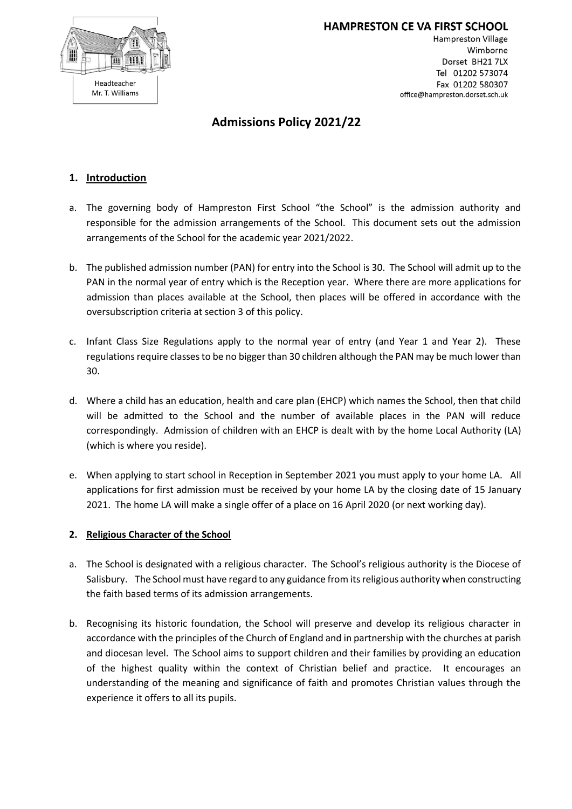

**HAMPRESTON CE VA FIRST SCHOOL Hampreston Village** Wimborne Dorset BH21 7LX Tel 01202 573074 Fax 01202 580307 office@hampreston.dorset.sch.uk

# **Admissions Policy 2021/22**

## **1. Introduction**

- a. The governing body of Hampreston First School "the School" is the admission authority and responsible for the admission arrangements of the School. This document sets out the admission arrangements of the School for the academic year 2021/2022.
- b. The published admission number (PAN) for entry into the School is 30. The School will admit up to the PAN in the normal year of entry which is the Reception year. Where there are more applications for admission than places available at the School, then places will be offered in accordance with the oversubscription criteria at section 3 of this policy.
- c. Infant Class Size Regulations apply to the normal year of entry (and Year 1 and Year 2). These regulations require classes to be no bigger than 30 children although the PAN may be much lower than 30.
- d. Where a child has an education, health and care plan (EHCP) which names the School, then that child will be admitted to the School and the number of available places in the PAN will reduce correspondingly. Admission of children with an EHCP is dealt with by the home Local Authority (LA) (which is where you reside).
- e. When applying to start school in Reception in September 2021 you must apply to your home LA. All applications for first admission must be received by your home LA by the closing date of 15 January 2021. The home LA will make a single offer of a place on 16 April 2020 (or next working day).

## **2. Religious Character of the School**

- a. The School is designated with a religious character. The School's religious authority is the Diocese of Salisbury. The School must have regard to any guidance from its religious authority when constructing the faith based terms of its admission arrangements.
- b. Recognising its historic foundation, the School will preserve and develop its religious character in accordance with the principles of the Church of England and in partnership with the churches at parish and diocesan level. The School aims to support children and their families by providing an education of the highest quality within the context of Christian belief and practice. It encourages an understanding of the meaning and significance of faith and promotes Christian values through the experience it offers to all its pupils.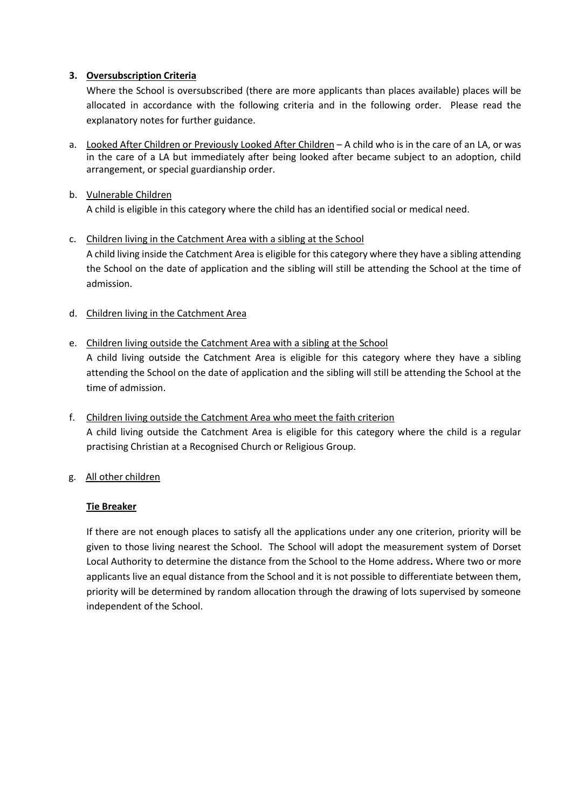## **3. Oversubscription Criteria**

Where the School is oversubscribed (there are more applicants than places available) places will be allocated in accordance with the following criteria and in the following order. Please read the explanatory notes for further guidance.

a. Looked After Children or Previously Looked After Children – A child who is in the care of an LA, or was in the care of a LA but immediately after being looked after became subject to an adoption, child arrangement, or special guardianship order.

#### b. Vulnerable Children

A child is eligible in this category where the child has an identified social or medical need.

#### c. Children living in the Catchment Area with a sibling at the School

A child living inside the Catchment Area is eligible for this category where they have a sibling attending the School on the date of application and the sibling will still be attending the School at the time of admission.

#### d. Children living in the Catchment Area

## e. Children living outside the Catchment Area with a sibling at the School

A child living outside the Catchment Area is eligible for this category where they have a sibling attending the School on the date of application and the sibling will still be attending the School at the time of admission.

f. Children living outside the Catchment Area who meet the faith criterion A child living outside the Catchment Area is eligible for this category where the child is a regular practising Christian at a Recognised Church or Religious Group.

## g. All other children

#### **Tie Breaker**

If there are not enough places to satisfy all the applications under any one criterion, priority will be given to those living nearest the School. The School will adopt the measurement system of Dorset Local Authority to determine the distance from the School to the Home address**.** Where two or more applicants live an equal distance from the School and it is not possible to differentiate between them, priority will be determined by random allocation through the drawing of lots supervised by someone independent of the School.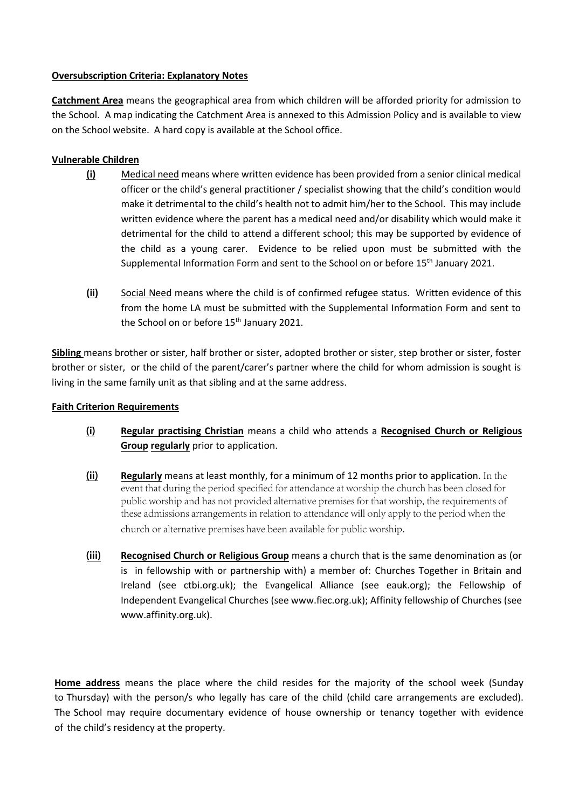#### **Oversubscription Criteria: Explanatory Notes**

**Catchment Area** means the geographical area from which children will be afforded priority for admission to the School. A map indicating the Catchment Area is annexed to this Admission Policy and is available to view on the School website. A hard copy is available at the School office.

## **Vulnerable Children**

- **(i)** Medical need means where written evidence has been provided from a senior clinical medical officer or the child's general practitioner / specialist showing that the child's condition would make it detrimental to the child's health not to admit him/her to the School. This may include written evidence where the parent has a medical need and/or disability which would make it detrimental for the child to attend a different school; this may be supported by evidence of the child as a young carer. Evidence to be relied upon must be submitted with the Supplemental Information Form and sent to the School on or before 15th January 2021.
- **(ii)** Social Need means where the child is of confirmed refugee status. Written evidence of this from the home LA must be submitted with the Supplemental Information Form and sent to the School on or before 15<sup>th</sup> January 2021.

**Sibling** means brother or sister, half brother or sister, adopted brother or sister, step brother or sister, foster brother or sister, or the child of the parent/carer's partner where the child for whom admission is sought is living in the same family unit as that sibling and at the same address.

#### **Faith Criterion Requirements**

- (i) **Regular practising Christian** means a child who attends a **Recognised Church or Religious Group regularly** prior to application.
- (ii) **Regularly** means at least monthly, for a minimum of 12 months prior to application. In the event that during the period specified for attendance at worship the church has been closed for public worship and has not provided alternative premises for that worship, the requirements of these admissions arrangements in relation to attendance will only apply to the period when the church or alternative premises have been available for public worship.
- (iii) **Recognised Church or Religious Group** means a church that is the same denomination as (or is in fellowship with or partnership with) a member of: Churches Together in Britain and Ireland (see ctbi.org.uk); the Evangelical Alliance (see eauk.org); the Fellowship of Independent Evangelical Churches (see www.fiec.org.uk); Affinity fellowship of Churches (see www.affinity.org.uk).

**Home address** means the place where the child resides for the majority of the school week (Sunday to Thursday) with the person/s who legally has care of the child (child care arrangements are excluded). The School may require documentary evidence of house ownership or tenancy together with evidence of the child's residency at the property.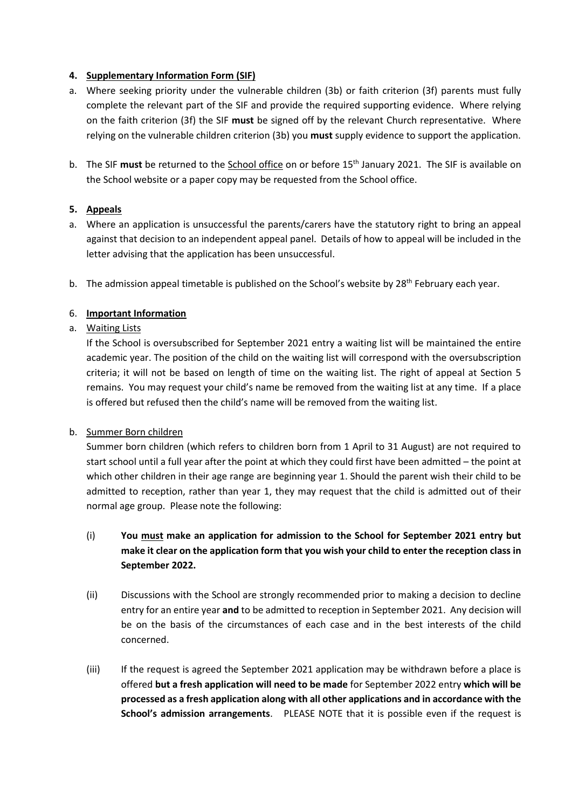#### **4. Supplementary Information Form (SIF)**

- a. Where seeking priority under the vulnerable children (3b) or faith criterion (3f) parents must fully complete the relevant part of the SIF and provide the required supporting evidence. Where relying on the faith criterion (3f) the SIF **must** be signed off by the relevant Church representative. Where relying on the vulnerable children criterion (3b) you **must** supply evidence to support the application.
- b. The SIF **must** be returned to the School office on or before 15th January 2021. The SIF is available on the School website or a paper copy may be requested from the School office.

## **5. Appeals**

- a. Where an application is unsuccessful the parents/carers have the statutory right to bring an appeal against that decision to an independent appeal panel. Details of how to appeal will be included in the letter advising that the application has been unsuccessful.
- b. The admission appeal timetable is published on the School's website by  $28^{th}$  February each year.

#### 6. **Important Information**

#### a. Waiting Lists

If the School is oversubscribed for September 2021 entry a waiting list will be maintained the entire academic year. The position of the child on the waiting list will correspond with the oversubscription criteria; it will not be based on length of time on the waiting list. The right of appeal at Section 5 remains. You may request your child's name be removed from the waiting list at any time. If a place is offered but refused then the child's name will be removed from the waiting list.

#### b. Summer Born children

Summer born children (which refers to children born from 1 April to 31 August) are not required to start school until a full year after the point at which they could first have been admitted – the point at which other children in their age range are beginning year 1. Should the parent wish their child to be admitted to reception, rather than year 1, they may request that the child is admitted out of their normal age group. Please note the following:

- (i) **You must make an application for admission to the School for September 2021 entry but make it clear on the application form that you wish your child to enter the reception class in September 2022.**
- (ii) Discussions with the School are strongly recommended prior to making a decision to decline entry for an entire year **and** to be admitted to reception in September 2021. Any decision will be on the basis of the circumstances of each case and in the best interests of the child concerned.
- (iii) If the request is agreed the September 2021 application may be withdrawn before a place is offered **but a fresh application will need to be made** for September 2022 entry **which will be processed as a fresh application along with all other applications and in accordance with the School's admission arrangements**. PLEASE NOTE that it is possible even if the request is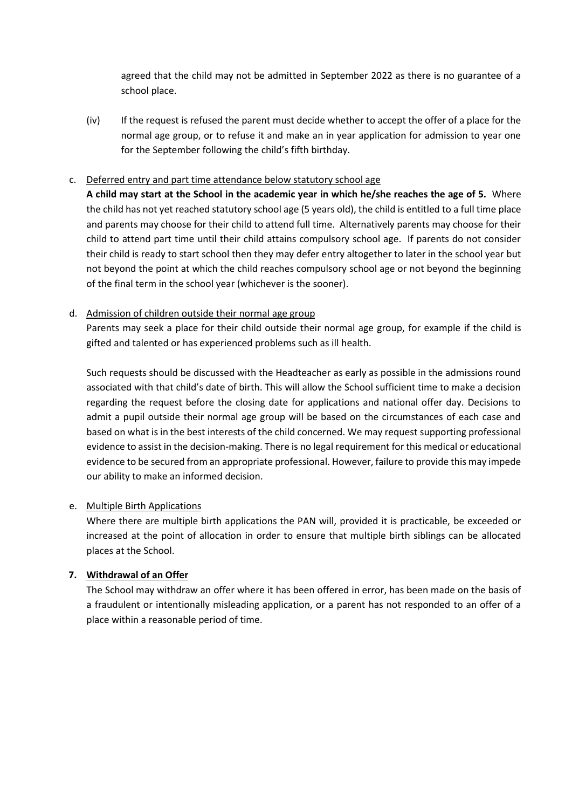agreed that the child may not be admitted in September 2022 as there is no guarantee of a school place.

(iv) If the request is refused the parent must decide whether to accept the offer of a place for the normal age group, or to refuse it and make an in year application for admission to year one for the September following the child's fifth birthday.

#### c. Deferred entry and part time attendance below statutory school age

**A child may start at the School in the academic year in which he/she reaches the age of 5.** Where the child has not yet reached statutory school age (5 years old), the child is entitled to a full time place and parents may choose for their child to attend full time. Alternatively parents may choose for their child to attend part time until their child attains compulsory school age. If parents do not consider their child is ready to start school then they may defer entry altogether to later in the school year but not beyond the point at which the child reaches compulsory school age or not beyond the beginning of the final term in the school year (whichever is the sooner).

#### d. Admission of children outside their normal age group

Parents may seek a place for their child outside their normal age group, for example if the child is gifted and talented or has experienced problems such as ill health.

Such requests should be discussed with the Headteacher as early as possible in the admissions round associated with that child's date of birth. This will allow the School sufficient time to make a decision regarding the request before the closing date for applications and national offer day. Decisions to admit a pupil outside their normal age group will be based on the circumstances of each case and based on what is in the best interests of the child concerned. We may request supporting professional evidence to assist in the decision-making. There is no legal requirement for this medical or educational evidence to be secured from an appropriate professional. However, failure to provide this may impede our ability to make an informed decision.

## e. Multiple Birth Applications

Where there are multiple birth applications the PAN will, provided it is practicable, be exceeded or increased at the point of allocation in order to ensure that multiple birth siblings can be allocated places at the School.

## **7. Withdrawal of an Offer**

The School may withdraw an offer where it has been offered in error, has been made on the basis of a fraudulent or intentionally misleading application, or a parent has not responded to an offer of a place within a reasonable period of time.